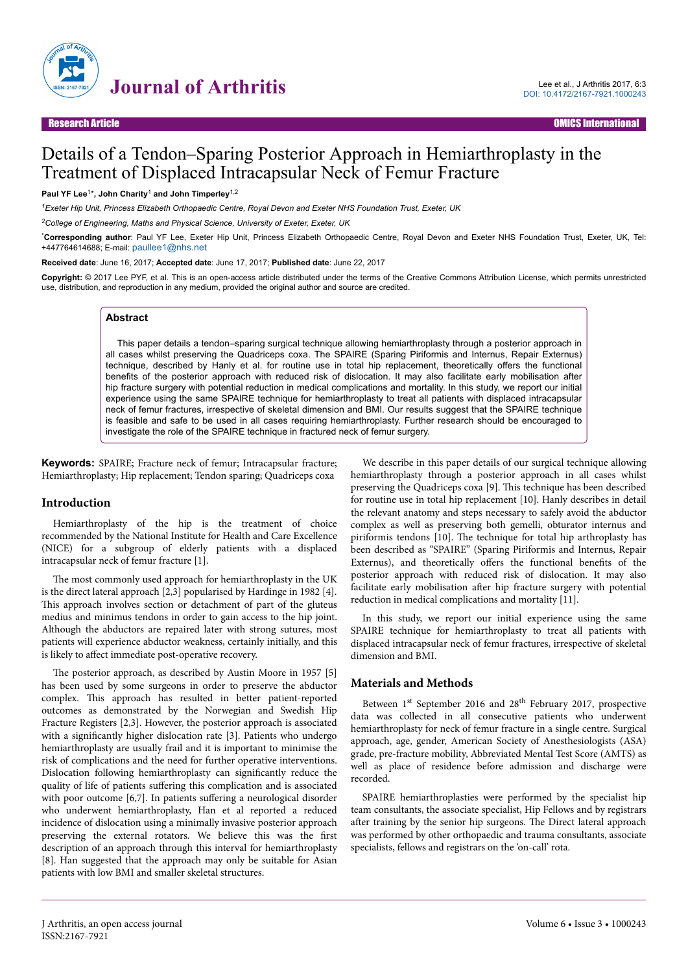

Research Article OMICS International

# Details of a Tendon–Sparing Posterior Approach in Hemiarthroplasty in the Treatment of Displaced Intracapsular Neck of Femur Fracture

Paul YF Lee<sup>1\*</sup>, John Charity<sup>1</sup> and John Timperley<sup>1,2</sup>

*<sup>1</sup>Exeter Hip Unit, Princess Elizabeth Orthopaedic Centre, Royal Devon and Exeter NHS Foundation Trust, Exeter, UK*

*<sup>2</sup>College of Engineering, Maths and Physical Science, University of Exeter, Exeter, UK*

\***Corresponding author**: Paul YF Lee, Exeter Hip Unit, Princess Elizabeth Orthopaedic Centre, Royal Devon and Exeter NHS Foundation Trust, Exeter, UK, Tel: +447764614688; E-mail: [paullee1@nhs.net](mailto:paullee1@nhs.net)

**Received date**: June 16, 2017; **Accepted date**: June 17, 2017; **Published date**: June 22, 2017

**Copyright:** © 2017 Lee PYF, et al. This is an open-access article distributed under the terms of the Creative Commons Attribution License, which permits unrestricted use, distribution, and reproduction in any medium, provided the original author and source are credited.

## **Abstract**

This paper details a tendon–sparing surgical technique allowing hemiarthroplasty through a posterior approach in all cases whilst preserving the Quadriceps coxa. The SPAIRE (Sparing Piriformis and Internus, Repair Externus) technique, described by Hanly et al. for routine use in total hip replacement, theoretically offers the functional benefits of the posterior approach with reduced risk of dislocation. It may also facilitate early mobilisation after hip fracture surgery with potential reduction in medical complications and mortality. In this study, we report our initial experience using the same SPAIRE technique for hemiarthroplasty to treat all patients with displaced intracapsular neck of femur fractures, irrespective of skeletal dimension and BMI. Our results suggest that the SPAIRE technique is feasible and safe to be used in all cases requiring hemiarthroplasty. Further research should be encouraged to investigate the role of the SPAIRE technique in fractured neck of femur surgery.

**Keywords:** SPAIRE; Fracture neck of femur; Intracapsular fracture; Hemiarthroplasty; Hip replacement; Tendon sparing; Quadriceps coxa

# **Introduction**

Hemiarthroplasty of the hip is the treatment of choice recommended by the National Institute for Health and Care Excellence (NICE) for a subgroup of elderly patients with a displaced intracapsular neck of femur fracture [1].

The most commonly used approach for hemiarthroplasty in the UK is the direct lateral approach [2,3] popularised by Hardinge in 1982 [4]. This approach involves section or detachment of part of the gluteus medius and minimus tendons in order to gain access to the hip joint. Although the abductors are repaired later with strong sutures, most patients will experience abductor weakness, certainly initially, and this is likely to affect immediate post-operative recovery.

The posterior approach, as described by Austin Moore in 1957 [5] has been used by some surgeons in order to preserve the abductor complex. Нis approach has resulted in better patient-reported outcomes as demonstrated by the Norwegian and Swedish Hip Fracture Registers [2,3]. However, the posterior approach is associated with a significantly higher dislocation rate [3]. Patients who undergo hemiarthroplasty are usually frail and it is important to minimise the risk of complications and the need for further operative interventions. Dislocation following hemiarthroplasty can significantly reduce the quality of life of patients suffering this complication and is associated with poor outcome  $[6,7]$ . In patients suffering a neurological disorder who underwent hemiarthroplasty, Han et al reported a reduced incidence of dislocation using a minimally invasive posterior approach preserving the external rotators. We believe this was the first description of an approach through this interval for hemiarthroplasty [8]. Han suggested that the approach may only be suitable for Asian patients with low BMI and smaller skeletal structures.

We describe in this paper details of our surgical technique allowing hemiarthroplasty through a posterior approach in all cases whilst preserving the Quadriceps coxa [9]. Нis technique has been described for routine use in total hip replacement [10]. Hanly describes in detail the relevant anatomy and steps necessary to safely avoid the abductor complex as well as preserving both gemelli, obturator internus and piriformis tendons [10]. Нe technique for total hip arthroplasty has been described as "SPAIRE" (Sparing Piriformis and Internus, Repair Externus), and theoretically offers the functional benefits of the posterior approach with reduced risk of dislocation. It may also facilitate early mobilisation after hip fracture surgery with potential reduction in medical complications and mortality [11].

In this study, we report our initial experience using the same SPAIRE technique for hemiarthroplasty to treat all patients with displaced intracapsular neck of femur fractures, irrespective of skeletal dimension and BMI.

# **Materials and Methods**

Between 1<sup>st</sup> September 2016 and 28<sup>th</sup> February 2017, prospective data was collected in all consecutive patients who underwent hemiarthroplasty for neck of femur fracture in a single centre. Surgical approach, age, gender, American Society of Anesthesiologists (ASA) grade, pre-fracture mobility, Abbreviated Mental Test Score (AMTS) as well as place of residence before admission and discharge were recorded.

SPAIRE hemiarthroplasties were performed by the specialist hip team consultants, the associate specialist, Hip Fellows and by registrars after training by the senior hip surgeons. The Direct lateral approach was performed by other orthopaedic and trauma consultants, associate specialists, fellows and registrars on the 'on-call' rota.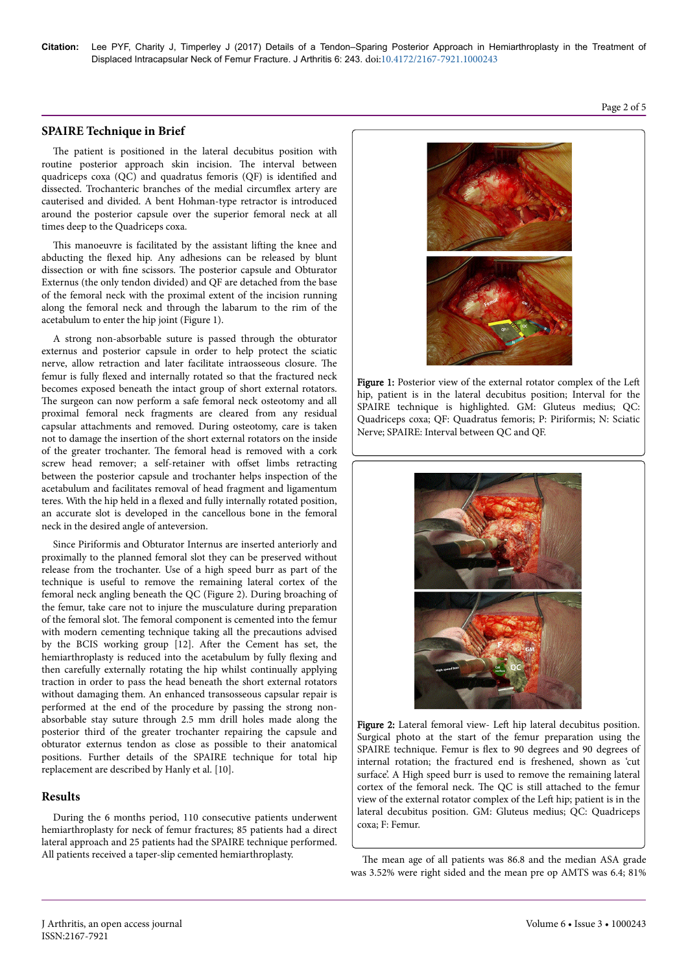## **SPAIRE Technique in Brief**

The patient is positioned in the lateral decubitus position with routine posterior approach skin incision. Нe interval between quadriceps coxa (QC) and quadratus femoris (QF) is identified and dissected. Trochanteric branches of the medial circumflex artery are cauterised and divided. A bent Hohman-type retractor is introduced around the posterior capsule over the superior femoral neck at all times deep to the Quadriceps coxa.

This manoeuvre is facilitated by the assistant lifting the knee and abducting the flexed hip. Any adhesions can be released by blunt dissection or with fine scissors. Нe posterior capsule and Obturator Externus (the only tendon divided) and QF are detached from the base of the femoral neck with the proximal extent of the incision running along the femoral neck and through the labarum to the rim of the acetabulum to enter the hip joint (Figure 1).

A strong non-absorbable suture is passed through the obturator externus and posterior capsule in order to help protect the sciatic nerve, allow retraction and later facilitate intraosseous closure. Нe femur is fully flexed and internally rotated so that the fractured neck becomes exposed beneath the intact group of short external rotators. The surgeon can now perform a safe femoral neck osteotomy and all proximal femoral neck fragments are cleared from any residual capsular attachments and removed. During osteotomy, care is taken not to damage the insertion of the short external rotators on the inside of the greater trochanter. Нe femoral head is removed with a cork screw head remover; a self-retainer with offset limbs retracting between the posterior capsule and trochanter helps inspection of the acetabulum and facilitates removal of head fragment and ligamentum teres. With the hip held in a flexed and fully internally rotated position, an accurate slot is developed in the cancellous bone in the femoral neck in the desired angle of anteversion.

Since Piriformis and Obturator Internus are inserted anteriorly and proximally to the planned femoral slot they can be preserved without release from the trochanter. Use of a high speed burr as part of the technique is useful to remove the remaining lateral cortex of the femoral neck angling beneath the QC (Figure 2). During broaching of the femur, take care not to injure the musculature during preparation of the femoral slot. Нe femoral component is cemented into the femur with modern cementing technique taking all the precautions advised by the BCIS working group [12]. After the Cement has set, the hemiarthroplasty is reduced into the acetabulum by fully flexing and then carefully externally rotating the hip whilst continually applying traction in order to pass the head beneath the short external rotators without damaging them. An enhanced transosseous capsular repair is performed at the end of the procedure by passing the strong nonabsorbable stay suture through 2.5 mm drill holes made along the posterior third of the greater trochanter repairing the capsule and obturator externus tendon as close as possible to their anatomical positions. Further details of the SPAIRE technique for total hip replacement are described by Hanly et al. [10].

### **Results**

During the 6 months period, 110 consecutive patients underwent hemiarthroplasty for neck of femur fractures; 85 patients had a direct lateral approach and 25 patients had the SPAIRE technique performed. All patients received a taper-slip cemented hemiarthroplasty.





Figure 2: Lateral femoral view- Left hip lateral decubitus position. Surgical photo at the start of the femur preparation using the SPAIRE technique. Femur is flex to 90 degrees and 90 degrees of internal rotation; the fractured end is freshened, shown as 'cut surface'. A High speed burr is used to remove the remaining lateral cortex of the femoral neck. Нe QC is still attached to the femur view of the external rotator complex of the Left hip; patient is in the lateral decubitus position. GM: Gluteus medius; QC: Quadriceps coxa; F: Femur.

The mean age of all patients was 86.8 and the median ASA grade was 3.52% were right sided and the mean pre op AMTS was 6.4; 81%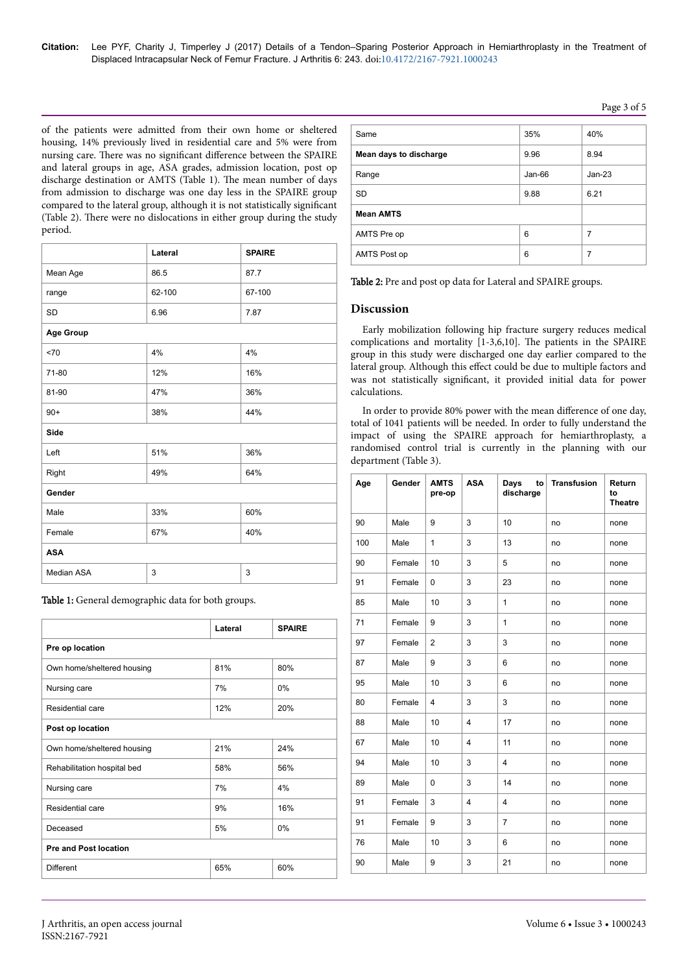**Citation:** Lee PYF, Charity J, Timperley J (2017) Details of a Tendon–Sparing Posterior Approach in Hemiarthroplasty in the Treatment of Displaced Intracapsular Neck of Femur Fracture. J Arthritis 6: 243. doi:10.4172/2167-7921.1000243

of the patients were admitted from their own home or sheltered housing, 14% previously lived in residential care and 5% were from nursing care. There was no significant difference between the SPAIRE and lateral groups in age, ASA grades, admission location, post op discharge destination or AMTS (Table 1). Нe mean number of days from admission to discharge was one day less in the SPAIRE group compared to the lateral group, although it is not statistically significant (Table 2). Нere were no dislocations in either group during the study period.

|            | Lateral | <b>SPAIRE</b> |  |  |  |
|------------|---------|---------------|--|--|--|
| Mean Age   | 86.5    | 87.7          |  |  |  |
| range      | 62-100  | 67-100        |  |  |  |
| <b>SD</b>  | 6.96    | 7.87          |  |  |  |
| Age Group  |         |               |  |  |  |
| <70        | 4%      | 4%            |  |  |  |
| 71-80      | 12%     | 16%           |  |  |  |
| 81-90      | 47%     | 36%           |  |  |  |
| $90+$      | 38%     | 44%           |  |  |  |
| Side       |         |               |  |  |  |
| Left       | 51%     | 36%           |  |  |  |
| Right      | 49%     | 64%           |  |  |  |
| Gender     |         |               |  |  |  |
| Male       | 33%     | 60%           |  |  |  |
| Female     | 67%     | 40%           |  |  |  |
| <b>ASA</b> |         |               |  |  |  |
| Median ASA | 3       | 3             |  |  |  |

Table 1: General demographic data for both groups.

|                              | Lateral | <b>SPAIRE</b> |  |  |  |
|------------------------------|---------|---------------|--|--|--|
| Pre op location              |         |               |  |  |  |
| Own home/sheltered housing   | 81%     | 80%           |  |  |  |
| Nursing care                 | 7%      | 0%            |  |  |  |
| Residential care             | 12%     | 20%           |  |  |  |
| Post op location             |         |               |  |  |  |
| Own home/sheltered housing   | 21%     | 24%           |  |  |  |
| Rehabilitation hospital bed  | 58%     | 56%           |  |  |  |
| Nursing care                 | 7%      | 4%            |  |  |  |
| Residential care             | 9%      | 16%           |  |  |  |
| Deceased                     | 5%      | 0%            |  |  |  |
| <b>Pre and Post location</b> |         |               |  |  |  |
| <b>Different</b>             | 65%     | 60%           |  |  |  |

Same 35% 90% **Mean days to discharge** 8.94 Range Jan-66 Jan-23 SD 9.88 6.21 **Mean AMTS** AMTS Pre op 6 7 AMTS Post op 6 7

Table 2: Pre and post op data for Lateral and SPAIRE groups.

## **Discussion**

Early mobilization following hip fracture surgery reduces medical complications and mortality [1-3,6,10]. Нe patients in the SPAIRE group in this study were discharged one day earlier compared to the lateral group. Although this effect could be due to multiple factors and was not statistically significant, it provided initial data for power calculations.

In order to provide 80% power with the mean difference of one day, total of 1041 patients will be needed. In order to fully understand the impact of using the SPAIRE approach for hemiarthroplasty, a randomised control trial is currently in the planning with our department (Table 3).

| Age | Gender | <b>AMTS</b><br>pre-op | <b>ASA</b>     | Days<br>to<br>discharge | <b>Transfusion</b> | Return<br>to<br><b>Theatre</b> |
|-----|--------|-----------------------|----------------|-------------------------|--------------------|--------------------------------|
| 90  | Male   | 9                     | 3              | 10                      | no                 | none                           |
| 100 | Male   | $\mathbf{1}$          | 3              | 13                      | no                 | none                           |
| 90  | Female | 10                    | 3              | 5                       | no                 | none                           |
| 91  | Female | 0                     | 3              | 23                      | no                 | none                           |
| 85  | Male   | 10                    | 3              | $\mathbf{1}$            | no                 | none                           |
| 71  | Female | 9                     | 3              | $\mathbf{1}$            | no                 | none                           |
| 97  | Female | $\overline{c}$        | 3              | 3                       | no                 | none                           |
| 87  | Male   | 9                     | 3              | 6                       | no                 | none                           |
| 95  | Male   | 10                    | 3              | 6                       | no                 | none                           |
| 80  | Female | $\overline{4}$        | 3              | 3                       | no                 | none                           |
| 88  | Male   | 10                    | 4              | 17                      | no                 | none                           |
| 67  | Male   | 10                    | $\overline{4}$ | 11                      | no                 | none                           |
| 94  | Male   | 10                    | 3              | $\overline{4}$          | no                 | none                           |
| 89  | Male   | 0                     | 3              | 14                      | no                 | none                           |
| 91  | Female | 3                     | 4              | 4                       | no                 | none                           |
| 91  | Female | 9                     | 3              | $\overline{7}$          | no                 | none                           |
| 76  | Male   | 10                    | 3              | 6                       | no                 | none                           |
| 90  | Male   | 9                     | 3              | 21                      | no                 | none                           |

Page 3 of 5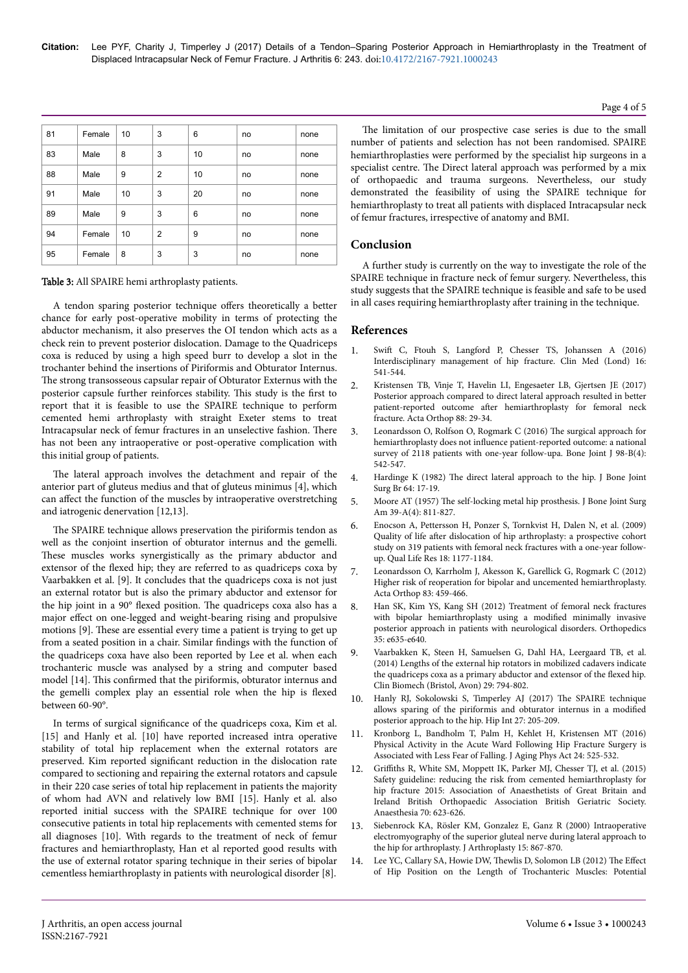### Page 4 of 5

| 81 | Female | 10 | 3              | 6  | no | none |
|----|--------|----|----------------|----|----|------|
| 83 | Male   | 8  | 3              | 10 | no | none |
| 88 | Male   | 9  | 2              | 10 | no | none |
| 91 | Male   | 10 | 3              | 20 | no | none |
| 89 | Male   | 9  | 3              | 6  | no | none |
| 94 | Female | 10 | $\overline{2}$ | 9  | no | none |
| 95 | Female | 8  | 3              | 3  | no | none |

#### Table 3: All SPAIRE hemi arthroplasty patients.

A tendon sparing posterior technique offers theoretically a better chance for early post-operative mobility in terms of protecting the abductor mechanism, it also preserves the OI tendon which acts as a check rein to prevent posterior dislocation. Damage to the Quadriceps coxa is reduced by using a high speed burr to develop a slot in the trochanter behind the insertions of Piriformis and Obturator Internus. The strong transosseous capsular repair of Obturator Externus with the posterior capsule further reinforces stability. Нis study is the first to report that it is feasible to use the SPAIRE technique to perform cemented hemi arthroplasty with straight Exeter stems to treat Intracapsular neck of femur fractures in an unselective fashion. Нere has not been any intraoperative or post-operative complication with this initial group of patients.

The lateral approach involves the detachment and repair of the anterior part of gluteus medius and that of gluteus minimus [4], which can affect the function of the muscles by intraoperative overstretching and iatrogenic denervation [12,13].

The SPAIRE technique allows preservation the piriformis tendon as well as the conjoint insertion of obturator internus and the gemelli. These muscles works synergistically as the primary abductor and extensor of the flexed hip; they are referred to as quadriceps coxa by Vaarbakken et al. [9]. It concludes that the quadriceps coxa is not just an external rotator but is also the primary abductor and extensor for the hip joint in a 90° flexed position. Нe quadriceps coxa also has a major effect on one-legged and weight-bearing rising and propulsive motions [9]. Нese are essential every time a patient is trying to get up from a seated position in a chair. Similar findings with the function of the quadriceps coxa have also been reported by Lee et al. when each trochanteric muscle was analysed by a string and computer based model [14]. Нis confirmed that the piriformis, obturator internus and the gemelli complex play an essential role when the hip is flexed between 60-90°.

In terms of surgical significance of the quadriceps coxa, Kim et al. [15] and Hanly et al. [10] have reported increased intra operative stability of total hip replacement when the external rotators are preserved. Kim reported significant reduction in the dislocation rate compared to sectioning and repairing the external rotators and capsule in their 220 case series of total hip replacement in patients the majority of whom had AVN and relatively low BMI [15]. Hanly et al. also reported initial success with the SPAIRE technique for over 100 consecutive patients in total hip replacements with cemented stems for all diagnoses [10]. With regards to the treatment of neck of femur fractures and hemiarthroplasty, Han et al reported good results with the use of external rotator sparing technique in their series of bipolar cementless hemiarthroplasty in patients with neurological disorder [8].

The limitation of our prospective case series is due to the small number of patients and selection has not been randomised. SPAIRE hemiarthroplasties were performed by the specialist hip surgeons in a specialist centre. Нe Direct lateral approach was performed by a mix of orthopaedic and trauma surgeons. Nevertheless, our study demonstrated the feasibility of using the SPAIRE technique for hemiarthroplasty to treat all patients with displaced Intracapsular neck of femur fractures, irrespective of anatomy and BMI.

### **Conclusion**

A further study is currently on the way to investigate the role of the SPAIRE technique in fracture neck of femur surgery. Nevertheless, this study suggests that the SPAIRE technique is feasible and safe to be used in all cases requiring hemiarthroplasty after training in the technique.

#### **References**

- 1. Swift [C, Ftouh S, Langford P, Chesser TS, Johanssen A \(2016\)](https://doi.org/10.7861/clinmedicine.16-6-541) [Interdisciplinary management of hip fracture. Clin Med \(Lond\) 16:](https://doi.org/10.7861/clinmedicine.16-6-541) [541-544.](https://doi.org/10.7861/clinmedicine.16-6-541)
- 2. [Kristensen TB, Vinje T, Havelin LI, Engesaeter LB, Gjertsen JE \(2017\)](https://dx.doi.org/10.1080%2F17453674.2016.1250480) [Posterior approach compared to direct lateral approach resulted in better](https://dx.doi.org/10.1080%2F17453674.2016.1250480) patient-reported outcome after [hemiarthroplasty for femoral neck](https://dx.doi.org/10.1080%2F17453674.2016.1250480) [fracture. Acta Orthop 88: 29-34.](https://dx.doi.org/10.1080%2F17453674.2016.1250480)
- 3. [Leonardsson O, Rolfson O, Rogmark C \(2016\)](https://doi.org/10.1302/0301-620X.98B4.36626) Нe surgical approach for hemiarthroplasty does not influence [patient-reported outcome: a national](https://doi.org/10.1302/0301-620X.98B4.36626) [survey of 2118 patients with one-year follow-upa. Bone Joint J 98-B\(4\):](https://doi.org/10.1302/0301-620X.98B4.36626) [542-547.](https://doi.org/10.1302/0301-620X.98B4.36626)
- 4. Hardinge K (1982) Нe [direct lateral approach to the hip. J Bone Joint](http://bjj.boneandjoint.org.uk/content/64-B/1/17) [Surg Br 64: 17-19.](http://bjj.boneandjoint.org.uk/content/64-B/1/17)
- 5. Moore AT (1957) Нe [self-locking metal hip prosthesis. J Bone Joint Surg](http://journals.lww.com/jbjsjournal/Abstract/1957/39040/The_Self_Locking_Metal_Hip_Prosthesis_.5.aspx) [Am 39-A\(4\): 811-827.](http://journals.lww.com/jbjsjournal/Abstract/1957/39040/The_Self_Locking_Metal_Hip_Prosthesis_.5.aspx)
- 6. [Enocson A, Pettersson H, Ponzer S, Tornkvist H, Dalen N, et al. \(2009\)](https://doi.org/10.1007/s11136-009-9531-x) Quality of life after [dislocation of hip arthroplasty: a prospective cohort](https://doi.org/10.1007/s11136-009-9531-x) [study on 319 patients with femoral neck fractures with a one-year follow](https://doi.org/10.1007/s11136-009-9531-x)[up. Qual Life Res 18: 1177-1184.](https://doi.org/10.1007/s11136-009-9531-x)
- 7. [Leonardsson O, Karrholm J, Akesson K, Garellick G, Rogmark C \(2012\)](https://doi.org/10.3109/17453674.2012.727076) [Higher risk of reoperation for bipolar and uncemented hemiarthroplasty.](https://doi.org/10.3109/17453674.2012.727076) [Acta Orthop 83: 459-466.](https://doi.org/10.3109/17453674.2012.727076)
- 8. [Han SK, Kim YS, Kang SH \(2012\) Treatment of femoral neck fractures](https://doi.org/10.3928/01477447-20120426-15) [with bipolar hemiarthroplasty using a](https://doi.org/10.3928/01477447-20120426-15) modified minimally invasive [posterior approach in patients with neurological disorders. Orthopedics](https://doi.org/10.3928/01477447-20120426-15) [35: e635-e640.](https://doi.org/10.3928/01477447-20120426-15)
- 9. [Vaarbakken K, Steen H, Samuelsen G, Dahl HA, Leergaard TB, et al.](https://doi.org/10.1016/j.clinbiomech.2014.05.011) [\(2014\) Lengths of the external hip rotators in mobilized cadavers indicate](https://doi.org/10.1016/j.clinbiomech.2014.05.011) [the quadriceps coxa as a primary abductor and extensor of the](https://doi.org/10.1016/j.clinbiomech.2014.05.011) flexed hip. [Clin Biomech \(Bristol, Avon\) 29: 794-802.](https://doi.org/10.1016/j.clinbiomech.2014.05.011)
- 10. [Hanly RJ, Sokolowski S, Timperley AJ \(2017\)](https://doi.org/10.5301/hipint.5000490) Нe SPAIRE technique [allows sparing of the piriformis and obturator internus in a](https://doi.org/10.5301/hipint.5000490) modified [posterior approach to the hip. Hip Int 27: 205-209.](https://doi.org/10.5301/hipint.5000490)
- 11. [Kronborg L, Bandholm T, Palm H, Kehlet H, Kristensen MT \(2016\)](https://doi.org/10.1123/japa.2015-0071) [Physical Activity in the Acute Ward Following Hip Fracture Surgery is](https://doi.org/10.1123/japa.2015-0071) [Associated with Less Fear of Falling. J Aging Phys Act 24: 525-532.](https://doi.org/10.1123/japa.2015-0071)
- Griffiths [R, White SM, Moppett IK, Parker MJ, Chesser TJ, et al. \(2015\)](https://doi.org/10.1111/anae.13036) [Safety guideline: reducing the risk from cemented hemiarthroplasty for](https://doi.org/10.1111/anae.13036) [hip fracture 2015: Association of Anaesthetists of Great Britain and](https://doi.org/10.1111/anae.13036) [Ireland British Orthopaedic Association British Geriatric Society.](https://doi.org/10.1111/anae.13036) [Anaesthesia 70: 623-626.](https://doi.org/10.1111/anae.13036)
- 13. [Siebenrock KA, Rösler KM, Gonzalez E, Ganz R \(2000\) Intraoperative](http://dx.doi.org/10.1054/arth.2000.8099) [electromyography of the superior gluteal nerve during lateral approach to](http://dx.doi.org/10.1054/arth.2000.8099) [the hip for arthroplasty. J Arthroplasty 15: 867-870.](http://dx.doi.org/10.1054/arth.2000.8099)
- 14. [Lee YC, Callary SA, Howie DW,](https://doi.org/10.1016/j.arth.2011.08.023) Thewlis D, Solomon LB (2012) The Effect [of Hip Position on the Length of Trochanteric Muscles: Potential](https://doi.org/10.1016/j.arth.2011.08.023)